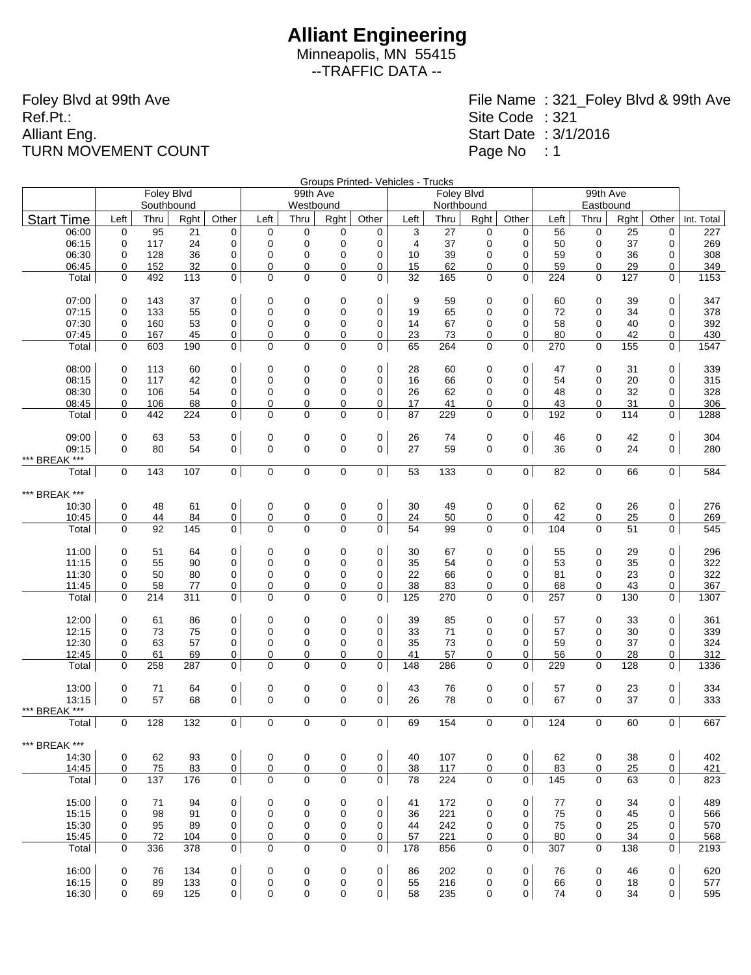Minneapolis, MN 55415 --TRAFFIC DATA --

Foley Blvd at 99th Ave Ref.Pt.: Alliant Eng. TURN MOVEMENT COUNT

|                   |                  |            |                 |                |                |             |                |                     | Groups Printed- Vehicles - Trucks |            |                  |                |           | 99th Ave    |           |                |             |
|-------------------|------------------|------------|-----------------|----------------|----------------|-------------|----------------|---------------------|-----------------------------------|------------|------------------|----------------|-----------|-------------|-----------|----------------|-------------|
|                   |                  | Foley Blvd |                 |                |                | 99th Ave    |                |                     |                                   | Foley Blvd |                  |                |           |             |           |                |             |
|                   |                  | Southbound |                 |                |                | Westbound   |                |                     |                                   | Northbound |                  |                |           | Eastbound   |           |                |             |
| <b>Start Time</b> | Left             | Thru       | Rght            | Other          | Left           | Thru        | Rght           | Other               | Left                              | Thru       | Rght             | Other          | Left      | Thru        | Rght      | Other          | Int. Total  |
| 06:00             | $\mathbf 0$      | 95         | $\overline{21}$ | $\mathbf 0$    | 0              | $\mathbf 0$ | 0              | 0                   | 3                                 | 27         | 0                | 0              | 56        | $\mathbf 0$ | 25        | 0              | 227         |
| 06:15             | 0                | 117        | 24              | 0              | 0              | $\mathbf 0$ | 0              | 0                   | $\overline{4}$                    | 37         | 0                | 0              | 50        | 0           | 37        | 0              | 269         |
| 06:30             | 0                | 128        | 36              | 0              | 0              | $\mathbf 0$ | 0              | 0                   | 10                                | 39         | 0                | 0              | 59        | 0           | 36        | 0              | 308         |
| 06:45             | 0<br>$\mathbf 0$ | 152<br>492 | 32<br>113       | 0<br>0         | 0<br>0         | 0<br>0      | 0<br>0         | 0<br>0              | 15<br>32                          | 62<br>165  | 0<br>0           | 0<br>0         | 59<br>224 | 0<br>0      | 29<br>127 | 0<br>0         | 349         |
| Total             |                  |            |                 |                |                |             |                |                     |                                   |            |                  |                |           |             |           |                | 1153        |
| 07:00             | $\mathbf 0$      | 143        | 37              | 0              | 0              | 0           | 0              | 0                   | 9                                 | 59         | 0                | 0              | 60        | 0           | 39        | 0              | 347         |
| 07:15             | $\mathbf 0$      | 133        | 55              | 0              | 0              | 0           | 0              | 0                   | 19                                | 65         | 0                | $\mathbf 0$    | 72        | 0           | 34        | 0              | 378         |
| 07:30             | 0                | 160        | 53              | 0              | 0              | 0           | 0              | 0                   | 14                                | 67         | 0                | 0              | 58        | 0           | 40        | 0              | 392         |
| 07:45<br>Total    | 0<br>$\mathbf 0$ | 167<br>603 | 45<br>190       | 0<br>0         | 0<br>0         | 0<br>0      | 0<br>0         | 0<br>0              | 23<br>65                          | 73<br>264  | 0<br>$\mathbf 0$ | 0<br>0         | 80<br>270 | 0<br>0      | 42<br>155 | 0<br>0         | 430<br>1547 |
|                   |                  |            |                 |                |                |             |                |                     |                                   |            |                  |                |           |             |           |                |             |
| 08:00             | 0                | 113        | 60              | 0              | 0              | 0           | 0              | 0                   | 28                                | 60         | 0                | 0              | 47        | 0           | 31        | 0              | 339         |
| 08:15             | 0                | 117        | 42              | 0              | 0              | 0           | 0              | 0                   | 16                                | 66         | 0                | $\mathbf 0$    | 54        | 0           | 20        | $\mathbf 0$    | 315         |
| 08:30             | 0                | 106        | 54              | 0              | 0              | 0           | 0              | 0                   | 26                                | 62         | 0                | 0              | 48        | 0           | 32        | 0              | 328         |
| 08:45             | 0                | 106        | 68              | 0              | 0              | $\mathbf 0$ | 0              | 0                   | 17                                | 41         | 0                | 0              | 43        | 0           | 31        | 0              | 306         |
| Total             | $\mathbf 0$      | 442        | 224             | 0              | 0              | $\mathbf 0$ | 0              | 0                   | 87                                | 229        | 0                | 0              | 192       | $\mathbf 0$ | 114       | 0              | 1288        |
| 09:00             | 0                | 63         | 53              | 0              | 0              | $\mathbf 0$ | 0              | 0                   | 26                                | 74         | 0                | 0              | 46        | $\pmb{0}$   | 42        | 0              | 304         |
| 09:15             | $\Omega$         | 80         | 54              | 0              | $\mathbf 0$    | $\mathbf 0$ | 0              | 0                   | 27                                | 59         | $\mathbf 0$      | $\mathbf 0$    | 36        | $\mathbf 0$ | 24        | $\mathbf 0$    | 280         |
| *** BREAK ***     |                  |            |                 |                |                |             |                |                     |                                   |            |                  |                |           |             |           |                |             |
| Total             | 0                | 143        | 107             | $\mathbf 0$    | $\pmb{0}$      | $\mathbf 0$ | $\pmb{0}$      | 0 <sup>1</sup>      | 53                                | 133        | 0                | 0              | 82        | $\mathbf 0$ | 66        | $\overline{0}$ | 584         |
| *** BREAK ***     |                  |            |                 |                |                |             |                |                     |                                   |            |                  |                |           |             |           |                |             |
| 10:30             | 0                | 48         | 61              | 0              | 0              | 0           | 0              | 0                   | 30                                | 49         | 0                | 0              | 62        | $\pmb{0}$   | 26        | 0              | 276         |
| 10:45             | 0                | 44         | 84              | $\overline{0}$ | $\overline{0}$ | 0           | $\overline{0}$ | 0                   | 24                                | 50         | 0                | 0              | 42        | 0           | 25        | 0              | 269         |
| Total             | $\mathbf 0$      | 92         | 145             | 0              | 0              | 0           | 0              | 0                   | 54                                | 99         | 0                | 0              | 104       | 0           | 51        | 0              | 545         |
| 11:00             | $\mathbf 0$      | 51         | 64              | 0              | 0              | 0           | 0              | 0                   | 30                                | 67         | 0                | 0              | 55        | 0           | 29        | 0              | 296         |
| 11:15             | 0                | 55         | 90              | 0              | 0              | 0           | 0              | 0                   | 35                                | 54         | 0                | 0              | 53        | 0           | 35        | 0              | 322         |
| 11:30             | 0                | 50         | 80              | 0              | 0              | 0           | 0              | $\mathbf 0$         | 22                                | 66         | 0                | 0              | 81        | 0           | 23        | 0              | 322         |
| 11:45             | 0                | 58         | 77              | 0              | 0              | 0           | 0              | 0                   | 38                                | 83         | 0                | 0              | 68        | 0           | 43        | 0              | 367         |
| Total             | 0                | 214        | 311             | 0              | 0              | 0           | 0              | 0                   | 125                               | 270        | $\mathbf 0$      | $\mathbf 0$    | 257       | 0           | 130       | 0              | 1307        |
| 12:00             | 0                | 61         | 86              | 0              | 0              | 0           | 0              | 0                   | 39                                | 85         | 0                | 0              | 57        | 0           | 33        | 0              | 361         |
| 12:15             | 0                | 73         | 75              | 0              | 0              | 0           | 0              | 0                   | 33                                | 71         | 0                | $\mathbf 0$    | 57        | 0           | 30        | $\mathbf 0$    | 339         |
| 12:30             | 0                | 63         | 57              | 0              | 0              | 0           | 0              | 0                   | 35                                | 73         | 0                | 0              | 59        | 0           | 37        | 0              | 324         |
| 12:45             | 0                | 61         | 69              | 0              | 0              | 0           | 0              | 0                   | 41                                | 57         | 0                | 0              | 56        | 0           | 28        | 0              | 312         |
| Total             | $\mathbf 0$      | 258        | 287             | $\mathbf 0$    | 0              | $\mathbf 0$ | $\pmb{0}$      | 0                   | 148                               | 286        | 0                | 0              | 229       | 0           | 128       | 0              | 1336        |
| 13:00             | 0                | 71         | 64              | 0              | 0              | $\mathbf 0$ | 0              | 0                   | 43                                | 76         | 0                | 0              | 57        | 0           | 23        | 0              | 334         |
| 13:15             | $\Omega$         | 57         | 68              | 0              | 0              | $\mathbf 0$ | $\mathbf 0$    | 0                   | 26                                | 78         | 0                | $\mathbf 0$    | 67        | $\mathbf 0$ | 37        | 0              | 333         |
| *** BREAK ***     |                  |            |                 |                |                |             |                |                     |                                   |            |                  |                |           |             |           |                |             |
| Total             | 0                | 128        | 132             | $\mathbf 0$    | 0              | 0           | 0              | $\overline{0}$      | 69                                | 154        | 0                | $\overline{0}$ | 124       | $\mathbf 0$ | 60        | $\overline{0}$ | 667         |
| *** BREAK ***     |                  |            |                 |                |                |             |                |                     |                                   |            |                  |                |           |             |           |                |             |
| 14:30             | 0                | 62         | 93              | 0              | 0              | $\mathbf 0$ | 0              | $\mathsf{O}\xspace$ | 40                                | 107        | 0                | 0              | 62        | 0           | 38        | $\mathbf 0$    | 402         |
| 14:45             | 0                | 75         | 83              | $\overline{0}$ | 0              | 0           | 0              | $\overline{0}$      | 38                                | 117        | 0                | $\overline{0}$ | 83        | 0           | 25        | $\overline{0}$ | 421         |
| Total             | 0                | 137        | 176             | $\mathbf 0$    | $\mathbf 0$    | 0           | $\mathbf 0$    | $\overline{0}$      | 78                                | 224        | 0                | 0              | 145       | 0           | 63        | 0              | 823         |
| 15:00             | 0                | 71         | 94              | 0              | 0              | 0           | 0              | $\mathbf 0$         | 41                                | 172        | 0                | 0              | 77        | 0           | 34        | 0              | 489         |
| 15:15             | 0                | 98         | 91              | $\mathbf 0$    | $\mathbf 0$    | 0           | 0              | 0                   | 36                                | 221        | 0                | 0              | 75        | 0           | 45        | 0              | 566         |
| 15:30             | 0                | 95         | 89              | 0              | $\mathbf 0$    | 0           | 0              | $\mathbf 0$         | 44                                | 242        | 0                | 0              | 75        | 0           | 25        | 0              | 570         |
| 15:45             | 0                | 72         | 104             | 0              | 0              | 0           | 0              | 0                   | 57                                | 221        | 0                | 0              | 80        | 0           | 34        | 0              | 568         |
| Total             | $\mathbf 0$      | 336        | 378             | $\mathbf 0$    | $\mathbf 0$    | 0           | 0              | 0                   | 178                               | 856        | $\mathbf 0$      | 0              | 307       | $\mathbf 0$ | 138       | $\overline{0}$ | 2193        |
| 16:00             | $\mathbf 0$      | 76         | 134             | 0              | 0              | 0           | 0              | $\mathsf{O}\xspace$ | 86                                | 202        | 0                | $\mathbf 0$    | 76        | 0           | 46        | 0              | 620         |
| 16:15             | 0                | 89         | 133             | 0              | 0              | 0           | 0              | 0                   | 55                                | 216        | 0                | 0              | 66        | 0           | 18        | 0              | 577         |
| 16:30             | 0                | 69         | 125             | 0              | 0              | 0           | 0              | 0                   | 58                                | 235        | 0                | 0              | 74        | 0           | 34        | 0              | 595         |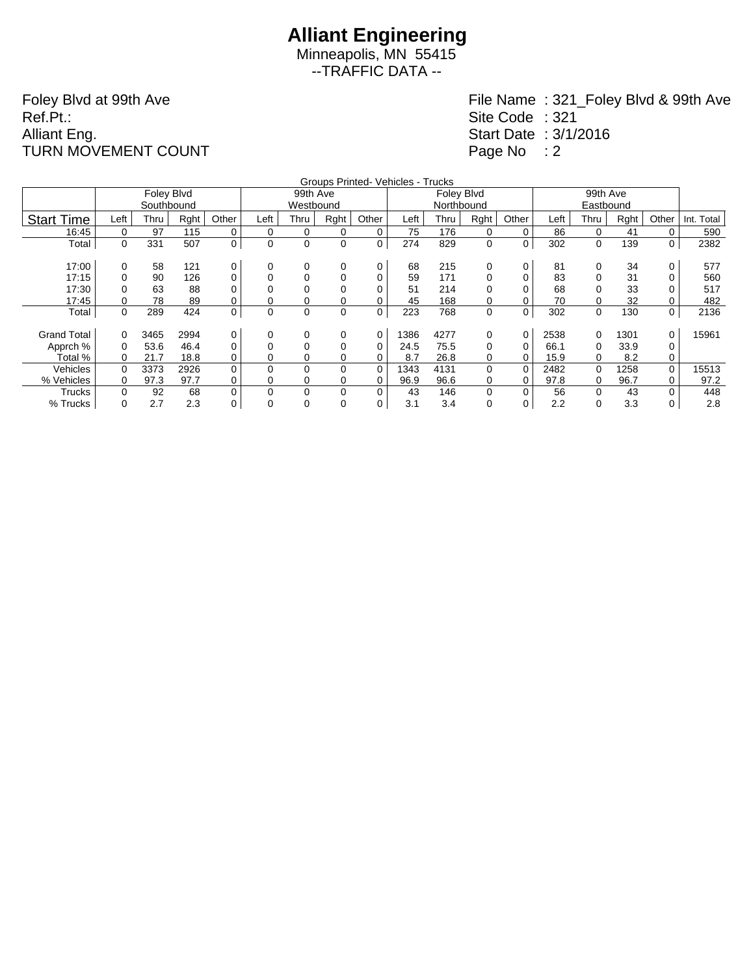Minneapolis, MN 55415 --TRAFFIC DATA --

Foley Blvd at 99th Ave Ref.Pt.: Alliant Eng. TURN MOVEMENT COUNT

|                    | Groups Printed- Vehicles - Trucks<br>99th Ave |            |      |          |             |             |      |             |      |            |          |          |      |      |      |       |            |
|--------------------|-----------------------------------------------|------------|------|----------|-------------|-------------|------|-------------|------|------------|----------|----------|------|------|------|-------|------------|
|                    |                                               | Foley Blvd |      |          |             | 99th Ave    |      |             |      | Foley Blvd |          |          |      |      |      |       |            |
|                    |                                               | Southbound |      |          |             | Westbound   |      |             |      | Northbound |          |          |      |      |      |       |            |
| <b>Start Time</b>  | Left                                          | Thru       | Rght | Other    | Left        | Thru        | Rght | Other       | Left | Thru       | Rght     | Other    | Left | Thru | Rght | Other | Int. Total |
| 16:45              | 0                                             | 97         | 115  | 0        | 0           | 0           | 0    | 0           | 75   | 176        | 0        | 0        | 86   | 0    | 41   | 0     | 590        |
| Total              | 0                                             | 331        | 507  | 0        | 0           | 0           | 0    | 0           | 274  | 829        | 0        | 0        | 302  | 0    | 139  | 0     | 2382       |
|                    |                                               |            |      |          |             |             |      |             |      |            |          |          |      |      |      |       |            |
| 17:00              | 0                                             | 58         | 121  | 0        | 0           | 0           | 0    | 0           | 68   | 215        | 0        | 0        | 81   | 0    | 34   | 0     | 577        |
| 17:15              |                                               | 90         | 126  | 0        | 0           | 0           | 0    | 0           | 59   | 171        | 0        |          | 83   |      | 31   |       | 560        |
| 17:30              |                                               | 63         | 88   | 0        |             | 0           | 0    | 0           | 51   | 214        | 0        |          | 68   |      | 33   |       | 517        |
| 17:45              |                                               | 78         | 89   | 0        | 0           | 0           | 0    | 0           | 45   | 168        | 0        |          | 70   |      | 32   |       | 482        |
| Total              | 0                                             | 289        | 424  | 0        | $\mathbf 0$ | $\mathbf 0$ | 0    | $\mathbf 0$ | 223  | 768        | 0        | 0        | 302  | 0    | 130  | 0     | 2136       |
|                    |                                               |            |      |          |             |             |      |             |      |            |          |          |      |      |      |       |            |
| <b>Grand Total</b> | 0                                             | 3465       | 2994 | 0        | 0           | 0           | 0    | 0           | 1386 | 4277       | 0        | 0        | 2538 | 0    | 1301 | 0     | 15961      |
| Apprch %           | 0                                             | 53.6       | 46.4 | 0        | 0           | 0           | 0    | 0           | 24.5 | 75.5       | 0        | 0        | 66.1 | 0    | 33.9 | 0     |            |
| Total %            | 0                                             | 21.7       | 18.8 | 0        | 0           | 0           | 0    | 0           | 8.7  | 26.8       | 0        | 0        | 15.9 | 0    | 8.2  | 0     |            |
| Vehicles           | 0                                             | 3373       | 2926 | $\Omega$ | 0           | $\Omega$    | 0    | $\Omega$    | 1343 | 4131       | $\Omega$ | $\Omega$ | 2482 | 0    | 1258 | 0     | 15513      |
| % Vehicles         | 0                                             | 97.3       | 97.7 | 0        | 0           | 0           | 0    | 0           | 96.9 | 96.6       | 0        |          | 97.8 | 0    | 96.7 | 0     | 97.2       |
| Trucks             | 0                                             | 92         | 68   | 0        | 0           | 0           | 0    | 0           | 43   | 146        | 0        | $\Omega$ | 56   | 0    | 43   | 0     | 448        |
| % Trucks           | 0                                             | 2.7        | 2.3  | 0        | 0           | 0           | 0    | 0           | 3.1  | 3.4        | 0        | 0        | 2.2  | 0    | 3.3  | 0     | 2.8        |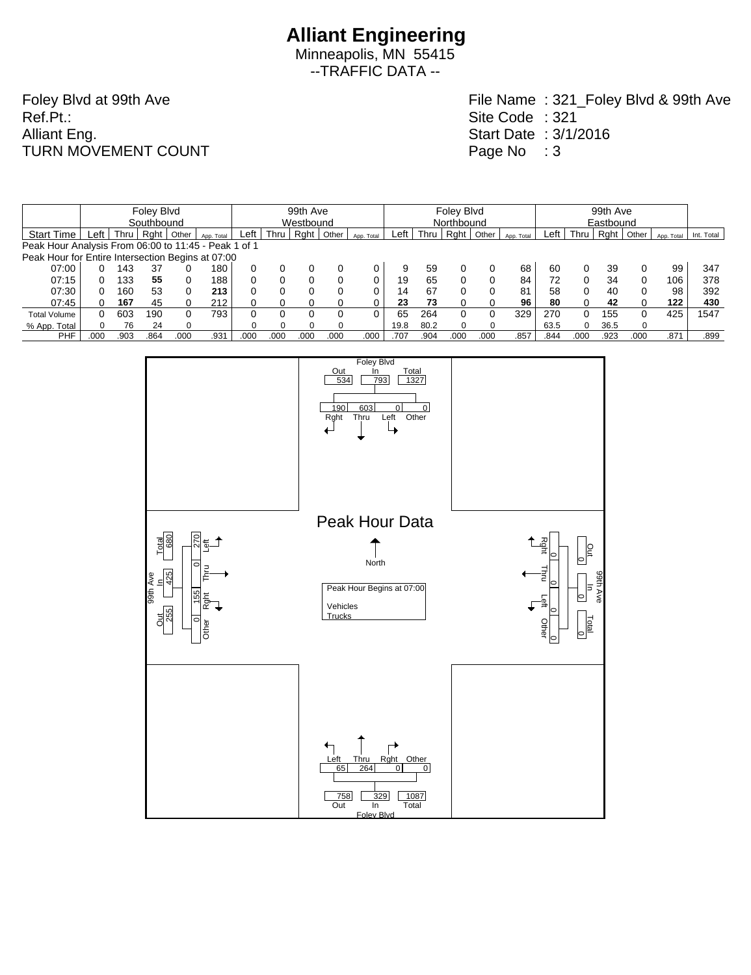Minneapolis, MN 55415 --TRAFFIC DATA --

Foley Blvd at 99th Ave Ref.Pt.: Alliant Eng. TURN MOVEMENT COUNT

|                                                      |            |      | Foley Blvd |       |            | 99th Ave |           |      |       |            |      | Foley Blyd |            |       |            |      |      | 99th Ave  |          |            |            |  |  |
|------------------------------------------------------|------------|------|------------|-------|------------|----------|-----------|------|-------|------------|------|------------|------------|-------|------------|------|------|-----------|----------|------------|------------|--|--|
|                                                      | Southbound |      |            |       |            |          | Westbound |      |       |            |      |            | Northbound |       |            |      |      | Eastbound |          |            |            |  |  |
| <b>Start Time</b>                                    | Left       | Thru | Raht       | Other | App. Total | Left     | Thru      | Raht | Other | App. Total | Left | Thru       | Rght       | Other | App. Total | Left | Thru | Rght      | Other    | App. Total | Int. Total |  |  |
| Peak Hour Analysis From 06:00 to 11:45 - Peak 1 of 1 |            |      |            |       |            |          |           |      |       |            |      |            |            |       |            |      |      |           |          |            |            |  |  |
| Peak Hour for Entire Intersection Begins at 07:00    |            |      |            |       |            |          |           |      |       |            |      |            |            |       |            |      |      |           |          |            |            |  |  |
| 07:00                                                |            | 143  | 37         |       | 180        |          |           |      |       |            |      | 59         |            |       | 68         | 60   |      | 39        |          | 99         | 347        |  |  |
| 07:15                                                |            | 133  | 55         |       | 188        |          |           |      |       |            | 19   | 65         |            |       | 84         |      |      | 34        | $\Omega$ | 106        | 378        |  |  |
| 07:30                                                |            | 160  | 53         |       | 213        |          |           |      | 0     |            | 14   | 67         |            |       | 81         | 58   |      | 40        | $\Omega$ | 98         | 392        |  |  |
| 07:45                                                |            | 167  | 45         |       | 212        |          |           |      |       |            | 23   | 73         |            |       | 96         | 80   | 0    | 42        | 0        | 122        | 430        |  |  |
| <b>Total Volume</b>                                  | 0          | 603  | 190        |       | 793        |          |           |      |       |            | 65   | 264        |            |       | 329        | 270  | O.   | 155       | $\Omega$ | 425        | 1547       |  |  |
| % App. Total                                         |            | 76   | 24         |       |            |          |           |      |       |            | 19.8 | 80.2       |            | O     |            | 63.5 | 0    | 36.5      | $\Omega$ |            |            |  |  |
| <b>PHF</b>                                           | .000       | .903 | .864       | .000  | .931       | .000     | .000      | .000 | .000  | .000       | .707 | .904       | .000       | .000  | .857       | .844 | .000 | .923      | .000     | .871       | .899       |  |  |